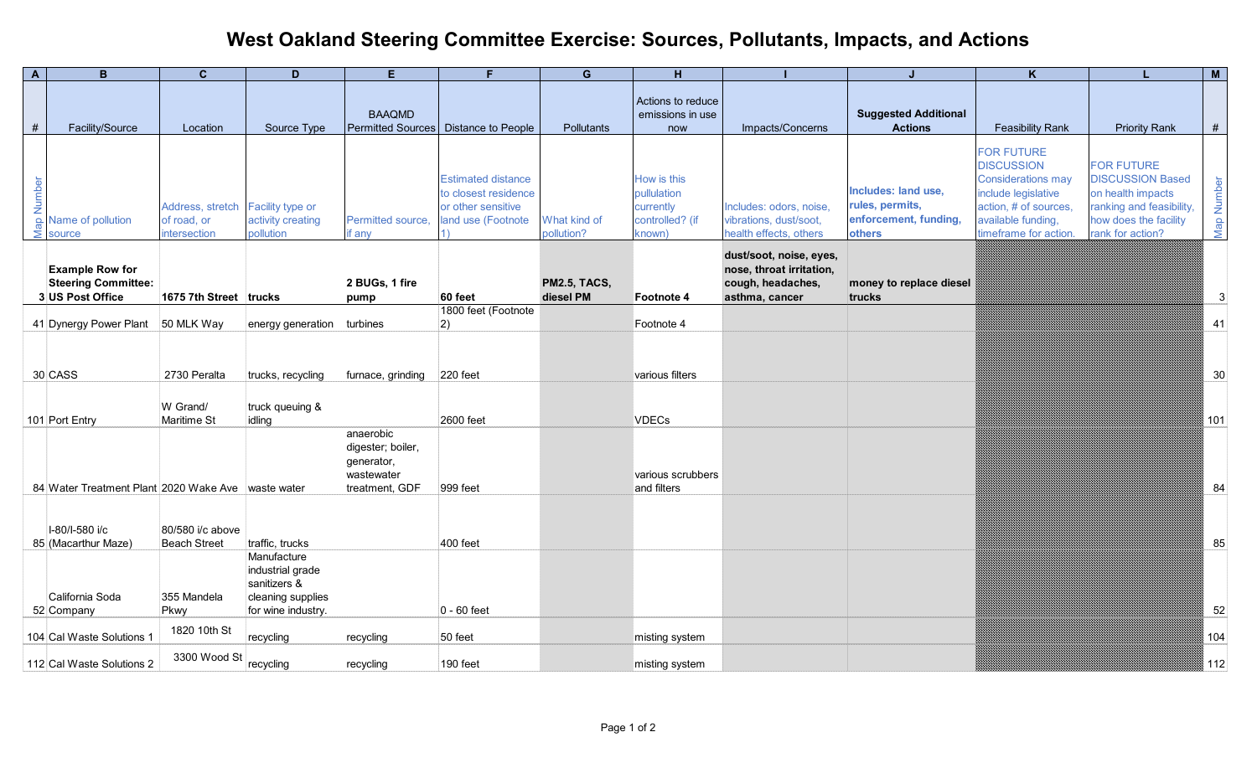## **West Oakland Steering Committee Exercise: Sources, Pollutants, Impacts, and Actions**

| $\overline{A}$ | B.                                                                       | $\mathbf{C}$                                                     | D                                                                           | E.                                                                           | F.                                                                                            | G                                | H                                                                    |                                                                                            | J.                                                                        | K                                                                                                                                                                  |                                                                                                                                            | M          |
|----------------|--------------------------------------------------------------------------|------------------------------------------------------------------|-----------------------------------------------------------------------------|------------------------------------------------------------------------------|-----------------------------------------------------------------------------------------------|----------------------------------|----------------------------------------------------------------------|--------------------------------------------------------------------------------------------|---------------------------------------------------------------------------|--------------------------------------------------------------------------------------------------------------------------------------------------------------------|--------------------------------------------------------------------------------------------------------------------------------------------|------------|
| #              | Facility/Source                                                          | Location                                                         | Source Type                                                                 | <b>BAAQMD</b>                                                                | Permitted Sources   Distance to People                                                        | Pollutants                       | Actions to reduce<br>emissions in use                                | Impacts/Concerns                                                                           | <b>Suggested Additional</b><br><b>Actions</b>                             | <b>Feasibility Rank</b>                                                                                                                                            | <b>Priority Rank</b>                                                                                                                       | $\#$       |
|                |                                                                          |                                                                  |                                                                             |                                                                              |                                                                                               |                                  | now                                                                  |                                                                                            |                                                                           |                                                                                                                                                                    |                                                                                                                                            |            |
|                | $\frac{1}{2}$<br>$\frac{1}{2}$ Name of pollution<br>$\frac{1}{2}$ source | Address, stretch Facility type or<br>of road, or<br>intersection | activity creating<br>pollution                                              | Permitted source,<br>if any                                                  | <b>Estimated distance</b><br>to closest residence<br>or other sensitive<br>land use (Footnote | What kind of<br>pollution?       | How is this<br>pullulation<br>currently<br>controlled? (if<br>known) | Includes: odors, noise<br>vibrations, dust/soot,<br>health effects, others                 | Includes: land use,<br>rules, permits,<br>enforcement, funding,<br>others | <b>FOR FUTURE</b><br><b>DISCUSSION</b><br><b>Considerations may</b><br>include legislative<br>action, # of sources.<br>available funding,<br>timeframe for action. | <b>FOR FUTURE</b><br><b>DISCUSSION Based</b><br>on health impacts<br>ranking and feasibility,<br>how does the facility<br>rank for action? | Map Number |
|                | <b>Example Row for</b><br><b>Steering Committee:</b><br>3 US Post Office | 1675 7th Street trucks                                           |                                                                             | 2 BUGs, 1 fire<br>pump                                                       | 60 feet                                                                                       | <b>PM2.5, TACS,</b><br>diesel PM | Footnote 4                                                           | dust/soot, noise, eyes,<br>nose, throat irritation,<br>cough, headaches,<br>asthma, cancer | money to replace diesel<br>trucks                                         |                                                                                                                                                                    |                                                                                                                                            | 3          |
|                |                                                                          |                                                                  |                                                                             |                                                                              | 1800 feet (Footnote                                                                           |                                  |                                                                      |                                                                                            |                                                                           |                                                                                                                                                                    |                                                                                                                                            |            |
|                | 41 Dynergy Power Plant 50 MLK Way                                        |                                                                  | energy generation                                                           | turbines                                                                     | 2)                                                                                            |                                  | Footnote 4                                                           |                                                                                            |                                                                           |                                                                                                                                                                    |                                                                                                                                            | 41         |
|                | 30 CASS                                                                  | 2730 Peralta<br>W Grand/                                         | trucks, recycling<br>truck queuing &                                        | furnace, grinding                                                            | 220 feet                                                                                      |                                  | various filters                                                      |                                                                                            |                                                                           |                                                                                                                                                                    |                                                                                                                                            | 30         |
|                | 101 Port Entry                                                           | Maritime St                                                      | idling                                                                      |                                                                              | 2600 feet                                                                                     |                                  | VDECs                                                                |                                                                                            |                                                                           |                                                                                                                                                                    |                                                                                                                                            | 101        |
|                | 84 Water Treatment Plant 2020 Wake Ave waste water                       |                                                                  |                                                                             | anaerobic<br>digester; boiler,<br>generator,<br>wastewater<br>treatment, GDF | 999 feet                                                                                      |                                  | various scrubbers<br>and filters                                     |                                                                                            |                                                                           |                                                                                                                                                                    |                                                                                                                                            | 84         |
|                |                                                                          |                                                                  |                                                                             |                                                                              |                                                                                               |                                  |                                                                      |                                                                                            |                                                                           |                                                                                                                                                                    |                                                                                                                                            |            |
|                | I-80/I-580 i/c<br>85 (Macarthur Maze)                                    | 80/580 i/c above<br><b>Beach Street</b>                          | traffic, trucks<br>Manufacture                                              |                                                                              | 400 feet                                                                                      |                                  |                                                                      |                                                                                            |                                                                           |                                                                                                                                                                    |                                                                                                                                            | 85         |
|                | California Soda<br>52 Company                                            | 355 Mandela<br>Pkwy                                              | industrial grade<br>sanitizers &<br>cleaning supplies<br>for wine industry. |                                                                              | $0 - 60$ feet                                                                                 |                                  |                                                                      |                                                                                            |                                                                           |                                                                                                                                                                    |                                                                                                                                            | 52         |
|                | 104 Cal Waste Solutions 1                                                | 1820 10th St                                                     |                                                                             |                                                                              | 50 feet                                                                                       |                                  |                                                                      |                                                                                            |                                                                           |                                                                                                                                                                    |                                                                                                                                            | 104        |
|                |                                                                          |                                                                  | recycling                                                                   | recycling                                                                    |                                                                                               |                                  | misting system                                                       |                                                                                            |                                                                           |                                                                                                                                                                    |                                                                                                                                            |            |
|                | 112 Cal Waste Solutions 2                                                | 3300 Wood St                                                     | recycling                                                                   | recycling                                                                    | 190 feet                                                                                      |                                  | misting system                                                       |                                                                                            |                                                                           |                                                                                                                                                                    |                                                                                                                                            | 112        |